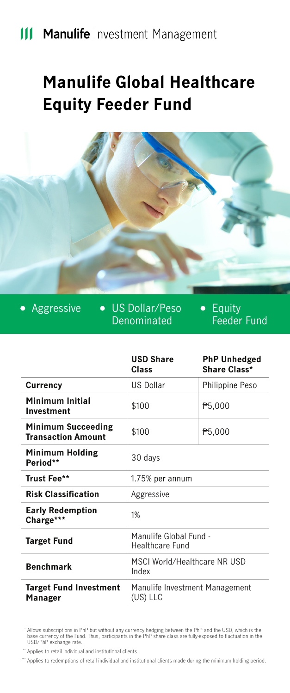# **Manulife Global Healthcare Equity Feeder Fund**



• Aggressive • US Dollar/Peso Denominated

Equity Feeder Fund

|                                                 | <b>USD Share</b><br>Class                  | <b>PhP Unhedged</b><br>Share Class* |
|-------------------------------------------------|--------------------------------------------|-------------------------------------|
| Currency                                        | <b>US Dollar</b>                           | Philippine Peso                     |
| Minimum Initial<br>Investment                   | \$100                                      | P5,000                              |
| Minimum Succeeding<br><b>Transaction Amount</b> | \$100                                      | P5,000                              |
| Minimum Holding<br>Period**                     | 30 days                                    |                                     |
| Trust Fee**                                     | 1.75% per annum                            |                                     |
| <b>Risk Classification</b>                      | Aggressive                                 |                                     |
| <b>Early Redemption</b><br>Charge***            | 1%                                         |                                     |
| <b>Target Fund</b>                              | Manulife Global Fund -<br>Healthcare Fund  |                                     |
| <b>Benchmark</b>                                | MSCI World/Healthcare NR USD<br>Index      |                                     |
| <b>Target Fund Investment</b><br>Manager        | Manulife Investment Management<br>(US) LLC |                                     |

Allows subscriptions in PhP but without any currency hedging between the PhP and the USD, which is the<br>base currency of the Fund. Thus, participants in the PhP share class are fully-exposed to fluctuation in the<br>USD/PhP ex

" Applies to retail individual and institutional clients.

\*\*\*\*\* Applies to redemptions of retail individual and institutional clients made during the minimum holding period.